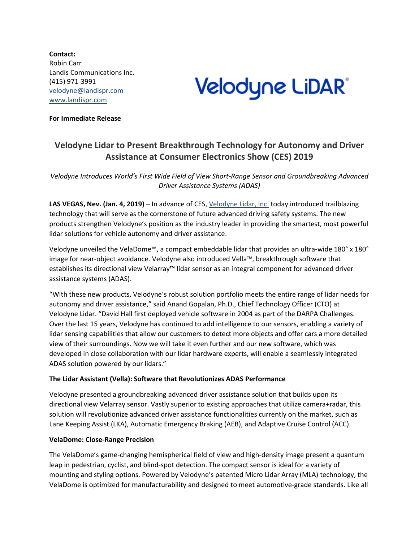**Contact:** Robin Carr Landis Communications Inc. (415) 971-3991 [velodyne@landispr.com](mailto:velodyne@landispr.com) [www.landispr.com](http://www.landispr.com/)

# Velodyne LiDAR"

## **For Immediate Release**

# **Velodyne Lidar to Present Breakthrough Technology for Autonomy and Driver Assistance at Consumer Electronics Show (CES) 2019**

*Velodyne Introduces World's First Wide Field of View Short-Range Sensor and Groundbreaking Advanced Driver Assistance Systems (ADAS)*

**LAS VEGAS, Nev. (Jan. 4, 2019)** – In advance of CES, [Velodyne Lidar, Inc.](https://velodynelidar.com/) today introduced trailblazing technology that will serve as the cornerstone of future advanced driving safety systems. The new products strengthen Velodyne's position as the industry leader in providing the smartest, most powerful lidar solutions for vehicle autonomy and driver assistance.

Velodyne unveiled the VelaDome™, a compact embeddable lidar that provides an ultra-wide 180° x 180° image for near-object avoidance. Velodyne also introduced Vella™, breakthrough software that establishes its directional view Velarray™ lidar sensor as an integral component for advanced driver assistance systems (ADAS).

"With these new products, Velodyne's robust solution portfolio meets the entire range of lidar needs for autonomy and driver assistance," said Anand Gopalan, Ph.D., Chief Technology Officer (CTO) at Velodyne Lidar. "David Hall first deployed vehicle software in 2004 as part of the DARPA Challenges. Over the last 15 years, Velodyne has continued to add intelligence to our sensors, enabling a variety of lidar sensing capabilities that allow our customers to detect more objects and offer cars a more detailed view of their surroundings. Now we will take it even further and our new software, which was developed in close collaboration with our lidar hardware experts, will enable a seamlessly integrated ADAS solution powered by our lidars."

#### **The Lidar Assistant (Vella): Software that Revolutionizes ADAS Performance**

Velodyne presented a groundbreaking advanced driver assistance solution that builds upon its directional view Velarray sensor. Vastly superior to existing approaches that utilize camera+radar, this solution will revolutionize advanced driver assistance functionalities currently on the market, such as Lane Keeping Assist (LKA), Automatic Emergency Braking (AEB), and Adaptive Cruise Control (ACC).

#### **VelaDome: Close-Range Precision**

The VelaDome's game-changing hemispherical field of view and high-density image present a quantum leap in pedestrian, cyclist, and blind-spot detection. The compact sensor is ideal for a variety of mounting and styling options. Powered by Velodyne's patented Micro Lidar Array (MLA) technology, the VelaDome is optimized for manufacturability and designed to meet automotive-grade standards. Like all